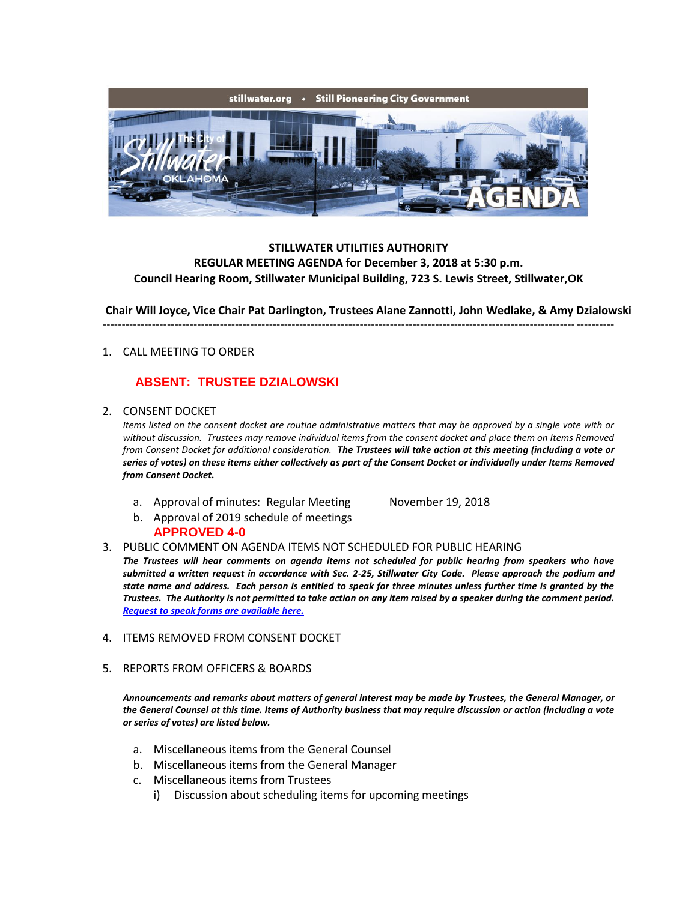

## **STILLWATER UTILITIES AUTHORITY REGULAR MEETING AGENDA for December 3, 2018 at 5:30 p.m. Council Hearing Room, Stillwater Municipal Building, 723 S. Lewis Street, Stillwater,OK**

**Chair Will Joyce, Vice Chair Pat Darlington, Trustees Alane Zannotti, John Wedlake, & Amy Dzialowski**

# ---------------------------------------------------------------------------------------------------------------------------------------

## 1. CALL MEETING TO ORDER

# **ABSENT: TRUSTEE DZIALOWSKI**

2. CONSENT DOCKET

*Items listed on the consent docket are routine administrative matters that may be approved by a single vote with or without discussion. Trustees may remove individual items from the consent docket and place them on Items Removed from Consent Docket for additional consideration. The Trustees will take action at this meeting (including a vote or series of votes) on these items either collectively as part of the Consent Docket or individually under Items Removed from Consent Docket.*

a. Approval of minutes: Regular Meeting November 19, 2018

b. Approval of 2019 schedule of meetings **APPROVED 4-0**

3. PUBLIC COMMENT ON AGENDA ITEMS NOT SCHEDULED FOR PUBLIC HEARING

*The Trustees will hear comments on agenda items not scheduled for public hearing from speakers who have submitted a written request in accordance with Sec. 2-25, Stillwater City Code. Please approach the podium and state name and address. Each person is entitled to speak for three minutes unless further time is granted by the Trustees. The Authority is not permitted to take action on any item raised by a speaker during the comment period. [Request to speak forms are available here.](http://stillwater.org/document/request_to_speak_at_city_council.php)*

- 4. ITEMS REMOVED FROM CONSENT DOCKET
- 5. REPORTS FROM OFFICERS & BOARDS

*Announcements and remarks about matters of general interest may be made by Trustees, the General Manager, or the General Counsel at this time. Items of Authority business that may require discussion or action (including a vote or series of votes) are listed below.*

- a. Miscellaneous items from the General Counsel
- b. Miscellaneous items from the General Manager
- c. Miscellaneous items from Trustees
	- i) Discussion about scheduling items for upcoming meetings